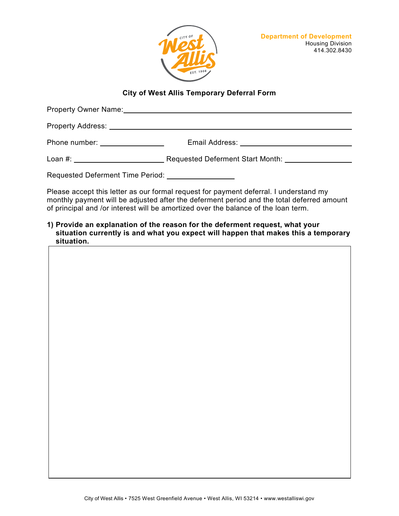

## **City of West Allis Temporary Deferral Form**

| Property Owner Name:                |                                  |  |
|-------------------------------------|----------------------------------|--|
|                                     |                                  |  |
| Phone number: and the phone number: |                                  |  |
| Loan #: ____________________        | Requested Deferment Start Month: |  |
|                                     |                                  |  |

Please accept this letter as our formal request for payment deferral. I understand my monthly payment will be adjusted after the deferment period and the total deferred amount of principal and /or interest will be amortized over the balance of the loan term.

**1) Provide an explanation of the reason for the deferment request, what your situation currently is and what you expect will happen that makes this a temporary situation.**